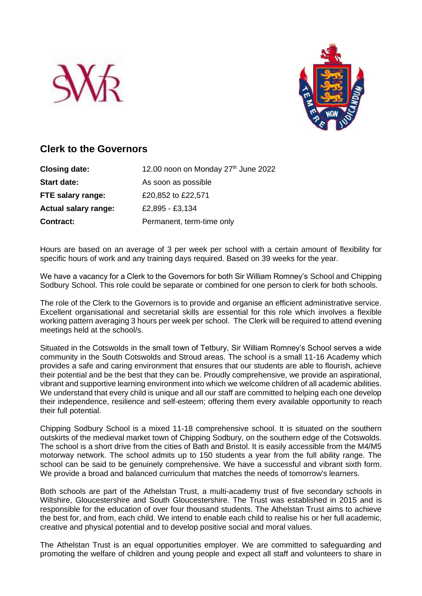



## **Clerk to the Governors**

| <b>Closing date:</b>        | 12.00 noon on Monday 27th June 2022 |
|-----------------------------|-------------------------------------|
| <b>Start date:</b>          | As soon as possible                 |
| FTE salary range:           | £20,852 to £22,571                  |
| <b>Actual salary range:</b> | £2,895 - £3,134                     |
| <b>Contract:</b>            | Permanent, term-time only           |

Hours are based on an average of 3 per week per school with a certain amount of flexibility for specific hours of work and any training days required. Based on 39 weeks for the year.

We have a vacancy for a Clerk to the Governors for both Sir William Romney's School and Chipping Sodbury School. This role could be separate or combined for one person to clerk for both schools.

The role of the Clerk to the Governors is to provide and organise an efficient administrative service. Excellent organisational and secretarial skills are essential for this role which involves a flexible working pattern averaging 3 hours per week per school. The Clerk will be required to attend evening meetings held at the school/s.

Situated in the Cotswolds in the small town of Tetbury, Sir William Romney's School serves a wide community in the South Cotswolds and Stroud areas. The school is a small 11-16 Academy which provides a safe and caring environment that ensures that our students are able to flourish, achieve their potential and be the best that they can be. Proudly comprehensive, we provide an aspirational, vibrant and supportive learning environment into which we welcome children of all academic abilities. We understand that every child is unique and all our staff are committed to helping each one develop their independence, resilience and self-esteem; offering them every available opportunity to reach their full potential.

Chipping Sodbury School is a mixed 11-18 comprehensive school. It is situated on the southern outskirts of the medieval market town of Chipping Sodbury, on the southern edge of the Cotswolds. The school is a short drive from the cities of Bath and Bristol. It is easily accessible from the M4/M5 motorway network. The school admits up to 150 students a year from the full ability range. The school can be said to be genuinely comprehensive. We have a successful and vibrant sixth form. We provide a broad and balanced curriculum that matches the needs of tomorrow's learners.

Both schools are part of the Athelstan Trust, a multi-academy trust of five secondary schools in Wiltshire, Gloucestershire and South Gloucestershire. The Trust was established in 2015 and is responsible for the education of over four thousand students. The Athelstan Trust aims to achieve the best for, and from, each child. We intend to enable each child to realise his or her full academic, creative and physical potential and to develop positive social and moral values.

The Athelstan Trust is an equal opportunities employer. We are committed to safeguarding and promoting the welfare of children and young people and expect all staff and volunteers to share in